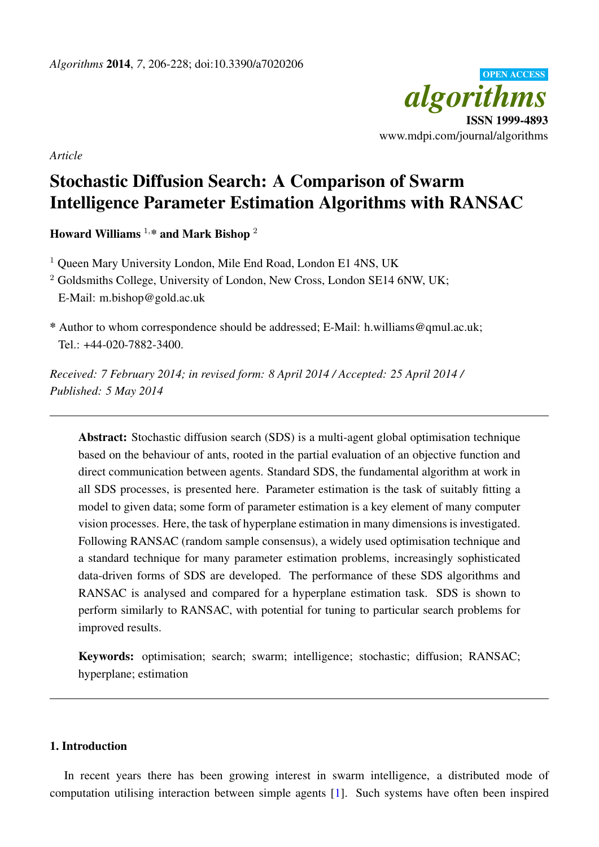

*Article*

# Stochastic Diffusion Search: A Comparison of Swarm Intelligence Parameter Estimation Algorithms with RANSAC

Howard Williams  $1, *$  and Mark Bishop  $2$ 

<sup>1</sup> Oueen Mary University London, Mile End Road, London E1 4NS, UK

<sup>2</sup> Goldsmiths College, University of London, New Cross, London SE14 6NW, UK; E-Mail: m.bishop@gold.ac.uk

\* Author to whom correspondence should be addressed; E-Mail: h.williams@qmul.ac.uk; Tel.: +44-020-7882-3400.

*Received: 7 February 2014; in revised form: 8 April 2014 / Accepted: 25 April 2014 / Published: 5 May 2014*

Abstract: Stochastic diffusion search (SDS) is a multi-agent global optimisation technique based on the behaviour of ants, rooted in the partial evaluation of an objective function and direct communication between agents. Standard SDS, the fundamental algorithm at work in all SDS processes, is presented here. Parameter estimation is the task of suitably fitting a model to given data; some form of parameter estimation is a key element of many computer vision processes. Here, the task of hyperplane estimation in many dimensions is investigated. Following RANSAC (random sample consensus), a widely used optimisation technique and a standard technique for many parameter estimation problems, increasingly sophisticated data-driven forms of SDS are developed. The performance of these SDS algorithms and RANSAC is analysed and compared for a hyperplane estimation task. SDS is shown to perform similarly to RANSAC, with potential for tuning to particular search problems for improved results.

Keywords: optimisation; search; swarm; intelligence; stochastic; diffusion; RANSAC; hyperplane; estimation

# 1. Introduction

In recent years there has been growing interest in swarm intelligence, a distributed mode of computation utilising interaction between simple agents [\[1\]](#page-20-0). Such systems have often been inspired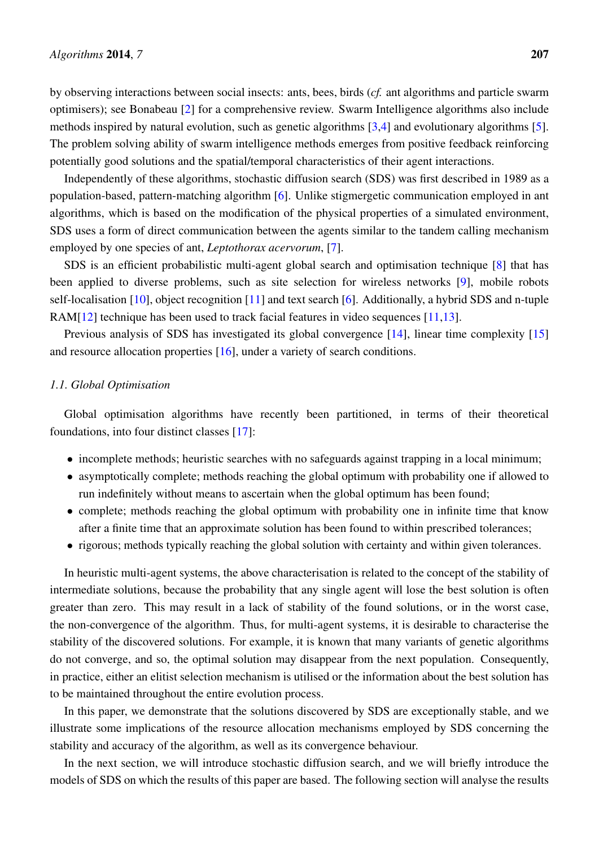by observing interactions between social insects: ants, bees, birds (*cf.* ant algorithms and particle swarm optimisers); see Bonabeau [\[2\]](#page-20-1) for a comprehensive review. Swarm Intelligence algorithms also include methods inspired by natural evolution, such as genetic algorithms [\[3,](#page-20-2)[4\]](#page-20-3) and evolutionary algorithms [\[5\]](#page-20-4). The problem solving ability of swarm intelligence methods emerges from positive feedback reinforcing potentially good solutions and the spatial/temporal characteristics of their agent interactions.

Independently of these algorithms, stochastic diffusion search (SDS) was first described in 1989 as a population-based, pattern-matching algorithm [\[6\]](#page-20-5). Unlike stigmergetic communication employed in ant algorithms, which is based on the modification of the physical properties of a simulated environment, SDS uses a form of direct communication between the agents similar to the tandem calling mechanism employed by one species of ant, *Leptothorax acervorum*, [\[7\]](#page-20-6).

SDS is an efficient probabilistic multi-agent global search and optimisation technique [\[8\]](#page-20-7) that has been applied to diverse problems, such as site selection for wireless networks [\[9\]](#page-20-8), mobile robots self-localisation [\[10\]](#page-20-9), object recognition [\[11\]](#page-20-10) and text search [\[6\]](#page-20-5). Additionally, a hybrid SDS and n-tuple RAM[\[12\]](#page-20-11) technique has been used to track facial features in video sequences [\[11](#page-20-10)[,13\]](#page-20-12).

Previous analysis of SDS has investigated its global convergence [\[14\]](#page-20-13), linear time complexity [\[15\]](#page-21-0) and resource allocation properties [\[16\]](#page-21-1), under a variety of search conditions.

### *1.1. Global Optimisation*

Global optimisation algorithms have recently been partitioned, in terms of their theoretical foundations, into four distinct classes [\[17\]](#page-21-2):

- incomplete methods; heuristic searches with no safeguards against trapping in a local minimum;
- asymptotically complete; methods reaching the global optimum with probability one if allowed to run indefinitely without means to ascertain when the global optimum has been found;
- complete; methods reaching the global optimum with probability one in infinite time that know after a finite time that an approximate solution has been found to within prescribed tolerances;
- rigorous; methods typically reaching the global solution with certainty and within given tolerances.

In heuristic multi-agent systems, the above characterisation is related to the concept of the stability of intermediate solutions, because the probability that any single agent will lose the best solution is often greater than zero. This may result in a lack of stability of the found solutions, or in the worst case, the non-convergence of the algorithm. Thus, for multi-agent systems, it is desirable to characterise the stability of the discovered solutions. For example, it is known that many variants of genetic algorithms do not converge, and so, the optimal solution may disappear from the next population. Consequently, in practice, either an elitist selection mechanism is utilised or the information about the best solution has to be maintained throughout the entire evolution process.

In this paper, we demonstrate that the solutions discovered by SDS are exceptionally stable, and we illustrate some implications of the resource allocation mechanisms employed by SDS concerning the stability and accuracy of the algorithm, as well as its convergence behaviour.

In the next section, we will introduce stochastic diffusion search, and we will briefly introduce the models of SDS on which the results of this paper are based. The following section will analyse the results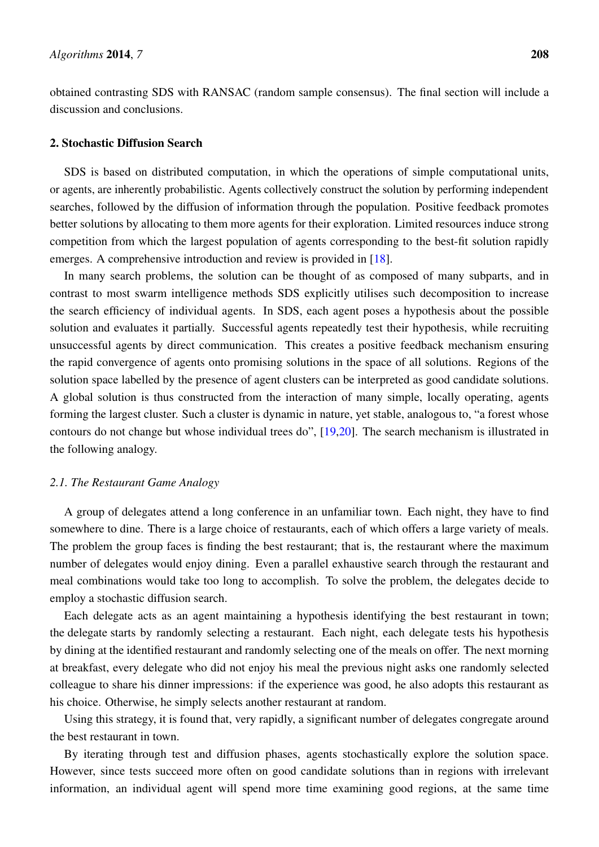obtained contrasting SDS with RANSAC (random sample consensus). The final section will include a discussion and conclusions.

# 2. Stochastic Diffusion Search

SDS is based on distributed computation, in which the operations of simple computational units, or agents, are inherently probabilistic. Agents collectively construct the solution by performing independent searches, followed by the diffusion of information through the population. Positive feedback promotes better solutions by allocating to them more agents for their exploration. Limited resources induce strong competition from which the largest population of agents corresponding to the best-fit solution rapidly emerges. A comprehensive introduction and review is provided in [\[18\]](#page-21-3).

In many search problems, the solution can be thought of as composed of many subparts, and in contrast to most swarm intelligence methods SDS explicitly utilises such decomposition to increase the search efficiency of individual agents. In SDS, each agent poses a hypothesis about the possible solution and evaluates it partially. Successful agents repeatedly test their hypothesis, while recruiting unsuccessful agents by direct communication. This creates a positive feedback mechanism ensuring the rapid convergence of agents onto promising solutions in the space of all solutions. Regions of the solution space labelled by the presence of agent clusters can be interpreted as good candidate solutions. A global solution is thus constructed from the interaction of many simple, locally operating, agents forming the largest cluster. Such a cluster is dynamic in nature, yet stable, analogous to, "a forest whose contours do not change but whose individual trees do", [\[19](#page-21-4)[,20\]](#page-21-5). The search mechanism is illustrated in the following analogy.

#### *2.1. The Restaurant Game Analogy*

A group of delegates attend a long conference in an unfamiliar town. Each night, they have to find somewhere to dine. There is a large choice of restaurants, each of which offers a large variety of meals. The problem the group faces is finding the best restaurant; that is, the restaurant where the maximum number of delegates would enjoy dining. Even a parallel exhaustive search through the restaurant and meal combinations would take too long to accomplish. To solve the problem, the delegates decide to employ a stochastic diffusion search.

Each delegate acts as an agent maintaining a hypothesis identifying the best restaurant in town; the delegate starts by randomly selecting a restaurant. Each night, each delegate tests his hypothesis by dining at the identified restaurant and randomly selecting one of the meals on offer. The next morning at breakfast, every delegate who did not enjoy his meal the previous night asks one randomly selected colleague to share his dinner impressions: if the experience was good, he also adopts this restaurant as his choice. Otherwise, he simply selects another restaurant at random.

Using this strategy, it is found that, very rapidly, a significant number of delegates congregate around the best restaurant in town.

By iterating through test and diffusion phases, agents stochastically explore the solution space. However, since tests succeed more often on good candidate solutions than in regions with irrelevant information, an individual agent will spend more time examining good regions, at the same time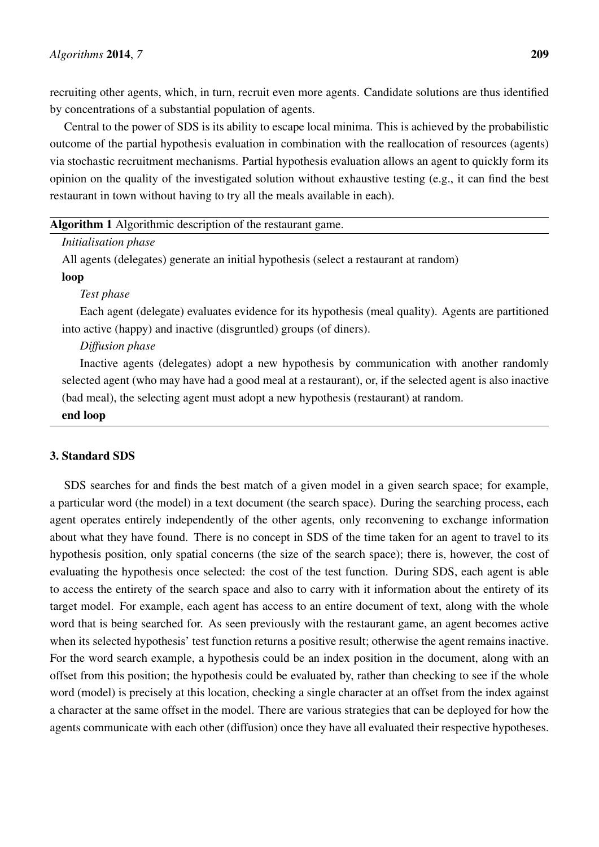recruiting other agents, which, in turn, recruit even more agents. Candidate solutions are thus identified by concentrations of a substantial population of agents.

Central to the power of SDS is its ability to escape local minima. This is achieved by the probabilistic outcome of the partial hypothesis evaluation in combination with the reallocation of resources (agents) via stochastic recruitment mechanisms. Partial hypothesis evaluation allows an agent to quickly form its opinion on the quality of the investigated solution without exhaustive testing (e.g., it can find the best restaurant in town without having to try all the meals available in each).

| <b>Algorithm 1</b> Algorithmic description of the restaurant game.                    |
|---------------------------------------------------------------------------------------|
| <i>Initialisation phase</i>                                                           |
| All agents (delegates) generate an initial hypothesis (select a restaurant at random) |
| loop                                                                                  |

#### *Test phase*

Each agent (delegate) evaluates evidence for its hypothesis (meal quality). Agents are partitioned into active (happy) and inactive (disgruntled) groups (of diners).

# *Diffusion phase*

Inactive agents (delegates) adopt a new hypothesis by communication with another randomly selected agent (who may have had a good meal at a restaurant), or, if the selected agent is also inactive (bad meal), the selecting agent must adopt a new hypothesis (restaurant) at random.

#### end loop

# 3. Standard SDS

SDS searches for and finds the best match of a given model in a given search space; for example, a particular word (the model) in a text document (the search space). During the searching process, each agent operates entirely independently of the other agents, only reconvening to exchange information about what they have found. There is no concept in SDS of the time taken for an agent to travel to its hypothesis position, only spatial concerns (the size of the search space); there is, however, the cost of evaluating the hypothesis once selected: the cost of the test function. During SDS, each agent is able to access the entirety of the search space and also to carry with it information about the entirety of its target model. For example, each agent has access to an entire document of text, along with the whole word that is being searched for. As seen previously with the restaurant game, an agent becomes active when its selected hypothesis' test function returns a positive result; otherwise the agent remains inactive. For the word search example, a hypothesis could be an index position in the document, along with an offset from this position; the hypothesis could be evaluated by, rather than checking to see if the whole word (model) is precisely at this location, checking a single character at an offset from the index against a character at the same offset in the model. There are various strategies that can be deployed for how the agents communicate with each other (diffusion) once they have all evaluated their respective hypotheses.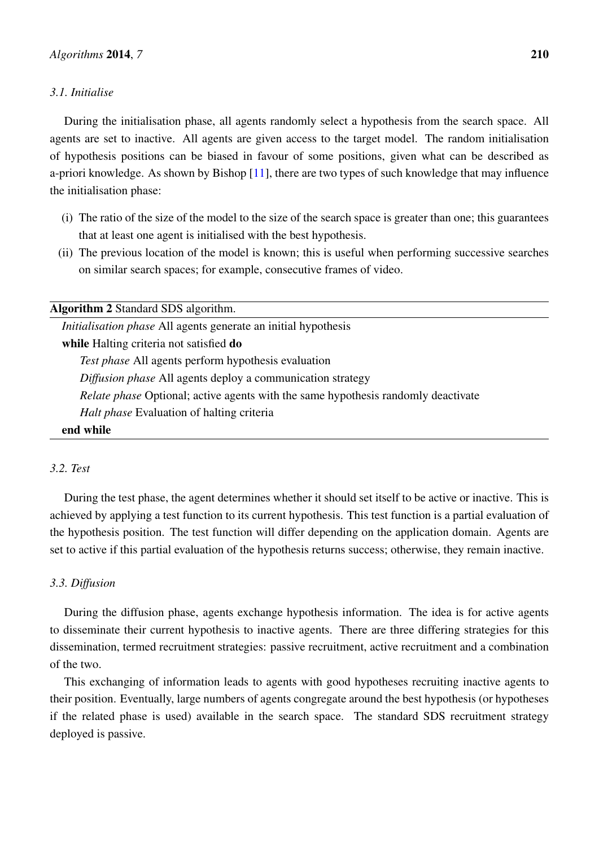# *3.1. Initialise*

During the initialisation phase, all agents randomly select a hypothesis from the search space. All agents are set to inactive. All agents are given access to the target model. The random initialisation of hypothesis positions can be biased in favour of some positions, given what can be described as a-priori knowledge. As shown by Bishop [\[11\]](#page-20-10), there are two types of such knowledge that may influence the initialisation phase:

- (i) The ratio of the size of the model to the size of the search space is greater than one; this guarantees that at least one agent is initialised with the best hypothesis.
- (ii) The previous location of the model is known; this is useful when performing successive searches on similar search spaces; for example, consecutive frames of video.

<span id="page-4-0"></span>

| <b>Algorithm 2 Standard SDS algorithm.</b>                                               |
|------------------------------------------------------------------------------------------|
| <i>Initialisation phase</i> All agents generate an initial hypothesis                    |
| while Halting criteria not satisfied do                                                  |
| <i>Test phase</i> All agents perform hypothesis evaluation                               |
| Diffusion phase All agents deploy a communication strategy                               |
| <i>Relate phase</i> Optional; active agents with the same hypothesis randomly deactivate |
| <i>Halt phase</i> Evaluation of halting criteria                                         |
| end while                                                                                |

# *3.2. Test*

During the test phase, the agent determines whether it should set itself to be active or inactive. This is achieved by applying a test function to its current hypothesis. This test function is a partial evaluation of the hypothesis position. The test function will differ depending on the application domain. Agents are set to active if this partial evaluation of the hypothesis returns success; otherwise, they remain inactive.

# *3.3. Diffusion*

During the diffusion phase, agents exchange hypothesis information. The idea is for active agents to disseminate their current hypothesis to inactive agents. There are three differing strategies for this dissemination, termed recruitment strategies: passive recruitment, active recruitment and a combination of the two.

This exchanging of information leads to agents with good hypotheses recruiting inactive agents to their position. Eventually, large numbers of agents congregate around the best hypothesis (or hypotheses if the related phase is used) available in the search space. The standard SDS recruitment strategy deployed is passive.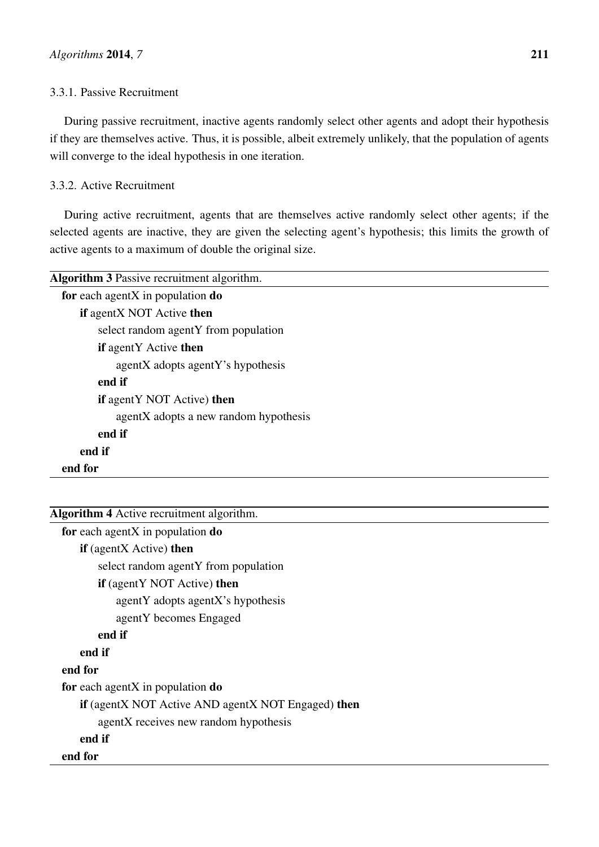# 3.3.1. Passive Recruitment

During passive recruitment, inactive agents randomly select other agents and adopt their hypothesis if they are themselves active. Thus, it is possible, albeit extremely unlikely, that the population of agents will converge to the ideal hypothesis in one iteration.

# 3.3.2. Active Recruitment

During active recruitment, agents that are themselves active randomly select other agents; if the selected agents are inactive, they are given the selecting agent's hypothesis; this limits the growth of active agents to a maximum of double the original size.

| <b>Algorithm 3</b> Passive recruitment algorithm. |
|---------------------------------------------------|
| for each agentX in population $do$                |
| if agentX NOT Active then                         |
| select random agentY from population              |
| <b>if</b> agentY Active <b>then</b>               |
| agentX adopts agentY's hypothesis                 |
| end if                                            |
| <b>if</b> agentY NOT Active) <b>then</b>          |
| agentX adopts a new random hypothesis             |
| end if                                            |
| end if                                            |
| end for                                           |
|                                                   |

| <b>Algorithm 4</b> Active recruitment algorithm.   |
|----------------------------------------------------|
| for each agent $X$ in population $do$              |
| <b>if</b> (agentX Active) <b>then</b>              |
| select random agentY from population               |
| <b>if</b> (agentY NOT Active) <b>then</b>          |
| agentY adopts agentX's hypothesis                  |
| agent Y becomes Engaged                            |
| end if                                             |
| end if                                             |
| end for                                            |
| for each agentX in population $do$                 |
| if (agentX NOT Active AND agentX NOT Engaged) then |
| agentX receives new random hypothesis              |
| end if                                             |
| end for                                            |
|                                                    |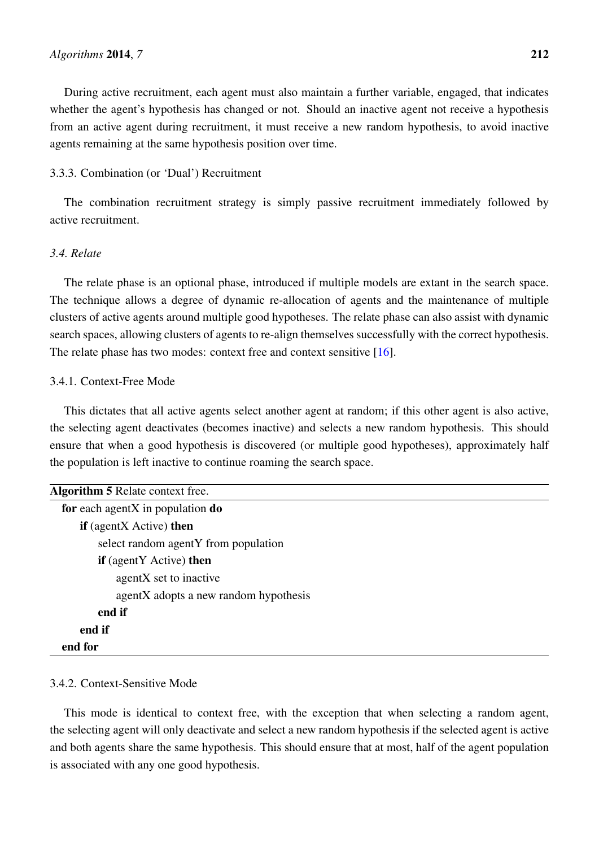During active recruitment, each agent must also maintain a further variable, engaged, that indicates whether the agent's hypothesis has changed or not. Should an inactive agent not receive a hypothesis from an active agent during recruitment, it must receive a new random hypothesis, to avoid inactive agents remaining at the same hypothesis position over time.

# 3.3.3. Combination (or 'Dual') Recruitment

The combination recruitment strategy is simply passive recruitment immediately followed by active recruitment.

# *3.4. Relate*

The relate phase is an optional phase, introduced if multiple models are extant in the search space. The technique allows a degree of dynamic re-allocation of agents and the maintenance of multiple clusters of active agents around multiple good hypotheses. The relate phase can also assist with dynamic search spaces, allowing clusters of agents to re-align themselves successfully with the correct hypothesis. The relate phase has two modes: context free and context sensitive [\[16\]](#page-21-1).

#### 3.4.1. Context-Free Mode

This dictates that all active agents select another agent at random; if this other agent is also active, the selecting agent deactivates (becomes inactive) and selects a new random hypothesis. This should ensure that when a good hypothesis is discovered (or multiple good hypotheses), approximately half the population is left inactive to continue roaming the search space.

| Algorithm 5 Relate context free.      |
|---------------------------------------|
| for each agentX in population $do$    |
| $if$ (agent $X$ Active) then          |
| select random agentY from population  |
| <b>if</b> (agentY Active) then        |
| agentX set to inactive                |
| agentX adopts a new random hypothesis |
| end if                                |
| end if                                |
| end for                               |

### 3.4.2. Context-Sensitive Mode

This mode is identical to context free, with the exception that when selecting a random agent, the selecting agent will only deactivate and select a new random hypothesis if the selected agent is active and both agents share the same hypothesis. This should ensure that at most, half of the agent population is associated with any one good hypothesis.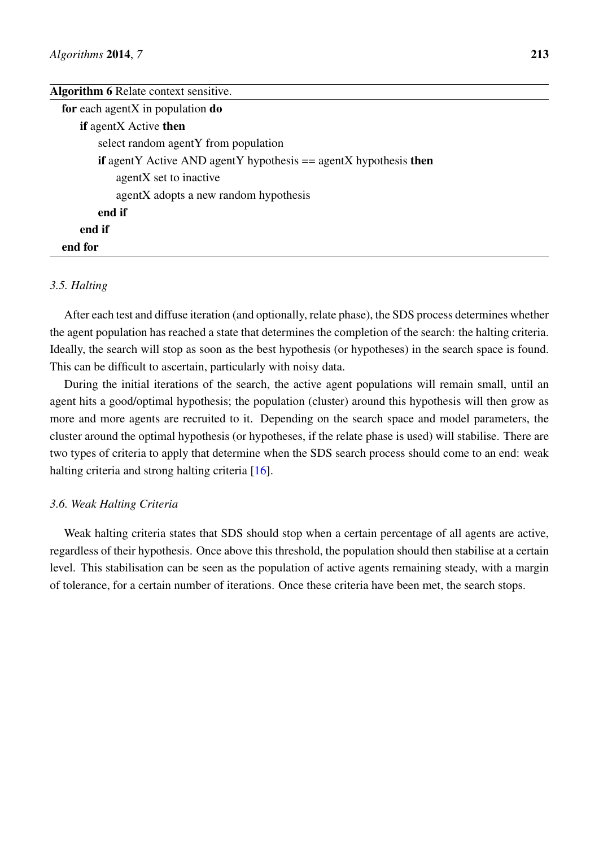#### Algorithm 6 Relate context sensitive.

| for each agentX in population $do$                                               |
|----------------------------------------------------------------------------------|
| <b>if</b> agentX Active <b>then</b>                                              |
| select random agentY from population                                             |
| <b>if</b> agentY Active AND agentY hypothesis $==$ agentX hypothesis <b>then</b> |
| agentX set to inactive                                                           |
| agentX adopts a new random hypothesis                                            |
| end if                                                                           |
| end if                                                                           |
| end for                                                                          |

# *3.5. Halting*

After each test and diffuse iteration (and optionally, relate phase), the SDS process determines whether the agent population has reached a state that determines the completion of the search: the halting criteria. Ideally, the search will stop as soon as the best hypothesis (or hypotheses) in the search space is found. This can be difficult to ascertain, particularly with noisy data.

During the initial iterations of the search, the active agent populations will remain small, until an agent hits a good/optimal hypothesis; the population (cluster) around this hypothesis will then grow as more and more agents are recruited to it. Depending on the search space and model parameters, the cluster around the optimal hypothesis (or hypotheses, if the relate phase is used) will stabilise. There are two types of criteria to apply that determine when the SDS search process should come to an end: weak halting criteria and strong halting criteria [\[16\]](#page-21-1).

#### *3.6. Weak Halting Criteria*

Weak halting criteria states that SDS should stop when a certain percentage of all agents are active, regardless of their hypothesis. Once above this threshold, the population should then stabilise at a certain level. This stabilisation can be seen as the population of active agents remaining steady, with a margin of tolerance, for a certain number of iterations. Once these criteria have been met, the search stops.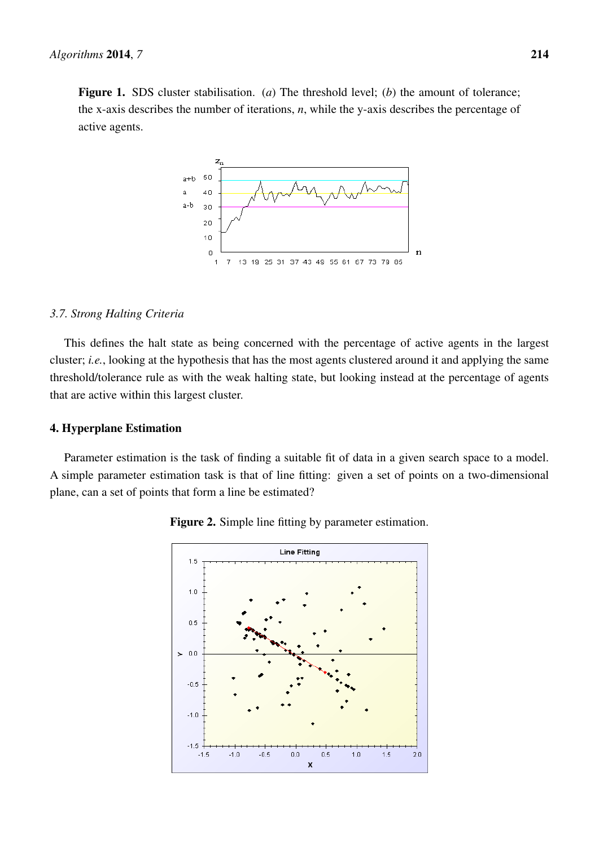Figure 1. SDS cluster stabilisation. (*a*) The threshold level; (*b*) the amount of tolerance; the x-axis describes the number of iterations, *n*, while the y-axis describes the percentage of active agents.



#### *3.7. Strong Halting Criteria*

This defines the halt state as being concerned with the percentage of active agents in the largest cluster; *i.e.*, looking at the hypothesis that has the most agents clustered around it and applying the same threshold/tolerance rule as with the weak halting state, but looking instead at the percentage of agents that are active within this largest cluster.

# 4. Hyperplane Estimation

Parameter estimation is the task of finding a suitable fit of data in a given search space to a model. A simple parameter estimation task is that of line fitting: given a set of points on a two-dimensional plane, can a set of points that form a line be estimated?



Figure 2. Simple line fitting by parameter estimation.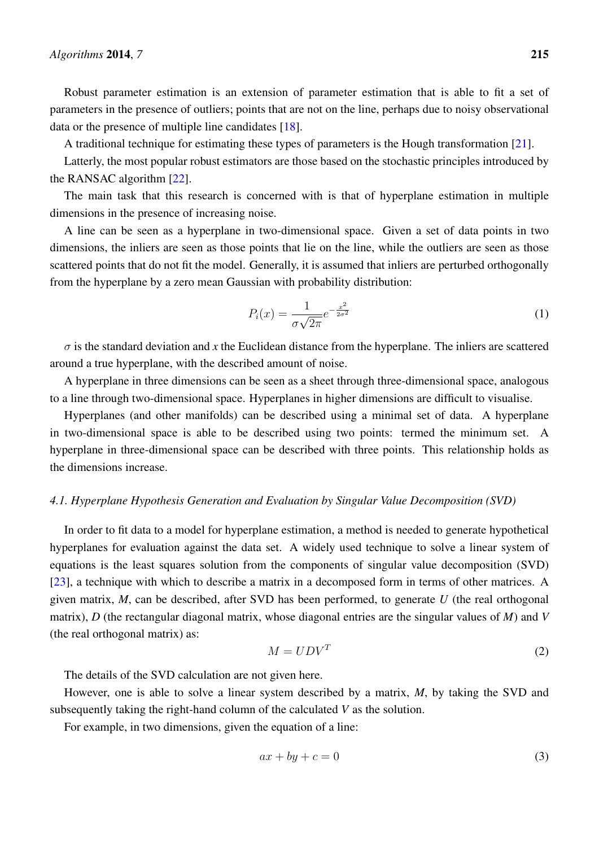Robust parameter estimation is an extension of parameter estimation that is able to fit a set of parameters in the presence of outliers; points that are not on the line, perhaps due to noisy observational data or the presence of multiple line candidates [\[18\]](#page-21-3).

A traditional technique for estimating these types of parameters is the Hough transformation [\[21\]](#page-21-6).

Latterly, the most popular robust estimators are those based on the stochastic principles introduced by the RANSAC algorithm [\[22\]](#page-21-7).

The main task that this research is concerned with is that of hyperplane estimation in multiple dimensions in the presence of increasing noise.

A line can be seen as a hyperplane in two-dimensional space. Given a set of data points in two dimensions, the inliers are seen as those points that lie on the line, while the outliers are seen as those scattered points that do not fit the model. Generally, it is assumed that inliers are perturbed orthogonally from the hyperplane by a zero mean Gaussian with probability distribution:

$$
P_i(x) = \frac{1}{\sigma\sqrt{2\pi}}e^{-\frac{x^2}{2\sigma^2}}\tag{1}
$$

 $\sigma$  is the standard deviation and x the Euclidean distance from the hyperplane. The inliers are scattered around a true hyperplane, with the described amount of noise.

A hyperplane in three dimensions can be seen as a sheet through three-dimensional space, analogous to a line through two-dimensional space. Hyperplanes in higher dimensions are difficult to visualise.

Hyperplanes (and other manifolds) can be described using a minimal set of data. A hyperplane in two-dimensional space is able to be described using two points: termed the minimum set. A hyperplane in three-dimensional space can be described with three points. This relationship holds as the dimensions increase.

#### *4.1. Hyperplane Hypothesis Generation and Evaluation by Singular Value Decomposition (SVD)*

In order to fit data to a model for hyperplane estimation, a method is needed to generate hypothetical hyperplanes for evaluation against the data set. A widely used technique to solve a linear system of equations is the least squares solution from the components of singular value decomposition (SVD) [\[23\]](#page-21-8), a technique with which to describe a matrix in a decomposed form in terms of other matrices. A given matrix, *M*, can be described, after SVD has been performed, to generate *U* (the real orthogonal matrix), *D* (the rectangular diagonal matrix, whose diagonal entries are the singular values of *M*) and *V* (the real orthogonal matrix) as:

$$
M = UDV^T \tag{2}
$$

The details of the SVD calculation are not given here.

However, one is able to solve a linear system described by a matrix, *M*, by taking the SVD and subsequently taking the right-hand column of the calculated *V* as the solution.

For example, in two dimensions, given the equation of a line:

$$
ax + by + c = 0 \tag{3}
$$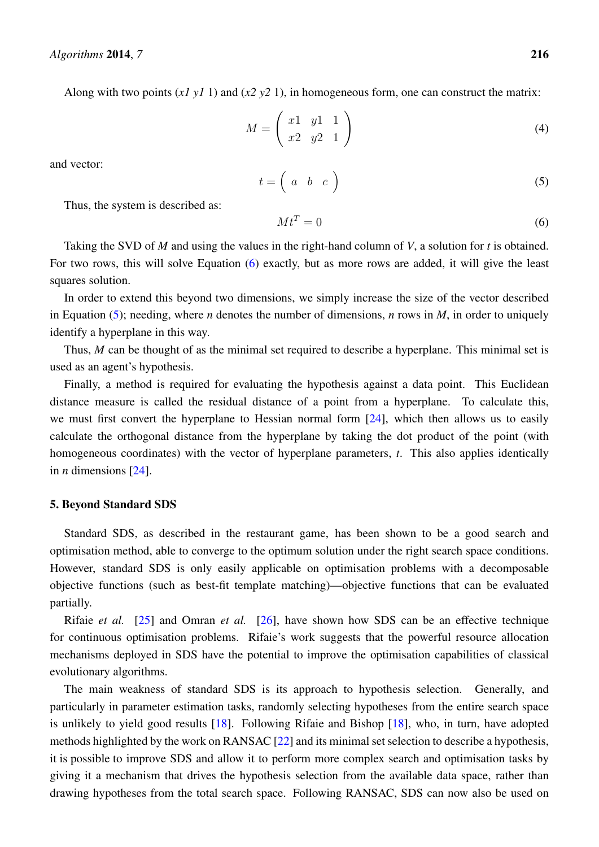Along with two points (*x1 y1* 1) and (*x2 y2* 1), in homogeneous form, one can construct the matrix:

$$
M = \left(\begin{array}{cc} x1 & y1 & 1 \\ x2 & y2 & 1 \end{array}\right) \tag{4}
$$

and vector:

<span id="page-10-1"></span>
$$
t = \left(\begin{array}{ccc} a & b & c \end{array}\right) \tag{5}
$$

Thus, the system is described as:

<span id="page-10-0"></span>
$$
Mt^T = 0 \tag{6}
$$

Taking the SVD of *M* and using the values in the right-hand column of *V*, a solution for *t* is obtained. For two rows, this will solve Equation [\(6\)](#page-10-0) exactly, but as more rows are added, it will give the least squares solution.

In order to extend this beyond two dimensions, we simply increase the size of the vector described in Equation [\(5\)](#page-10-1); needing, where *n* denotes the number of dimensions, *n* rows in *M*, in order to uniquely identify a hyperplane in this way.

Thus, *M* can be thought of as the minimal set required to describe a hyperplane. This minimal set is used as an agent's hypothesis.

Finally, a method is required for evaluating the hypothesis against a data point. This Euclidean distance measure is called the residual distance of a point from a hyperplane. To calculate this, we must first convert the hyperplane to Hessian normal form [\[24\]](#page-21-9), which then allows us to easily calculate the orthogonal distance from the hyperplane by taking the dot product of the point (with homogeneous coordinates) with the vector of hyperplane parameters, *t*. This also applies identically in *n* dimensions [\[24\]](#page-21-9).

#### 5. Beyond Standard SDS

Standard SDS, as described in the restaurant game, has been shown to be a good search and optimisation method, able to converge to the optimum solution under the right search space conditions. However, standard SDS is only easily applicable on optimisation problems with a decomposable objective functions (such as best-fit template matching)—objective functions that can be evaluated partially.

Rifaie *et al.* [\[25\]](#page-21-10) and Omran *et al.* [\[26\]](#page-21-11), have shown how SDS can be an effective technique for continuous optimisation problems. Rifaie's work suggests that the powerful resource allocation mechanisms deployed in SDS have the potential to improve the optimisation capabilities of classical evolutionary algorithms.

The main weakness of standard SDS is its approach to hypothesis selection. Generally, and particularly in parameter estimation tasks, randomly selecting hypotheses from the entire search space is unlikely to yield good results [\[18\]](#page-21-3). Following Rifaie and Bishop [\[18\]](#page-21-3), who, in turn, have adopted methods highlighted by the work on RANSAC [\[22\]](#page-21-7) and its minimal set selection to describe a hypothesis, it is possible to improve SDS and allow it to perform more complex search and optimisation tasks by giving it a mechanism that drives the hypothesis selection from the available data space, rather than drawing hypotheses from the total search space. Following RANSAC, SDS can now also be used on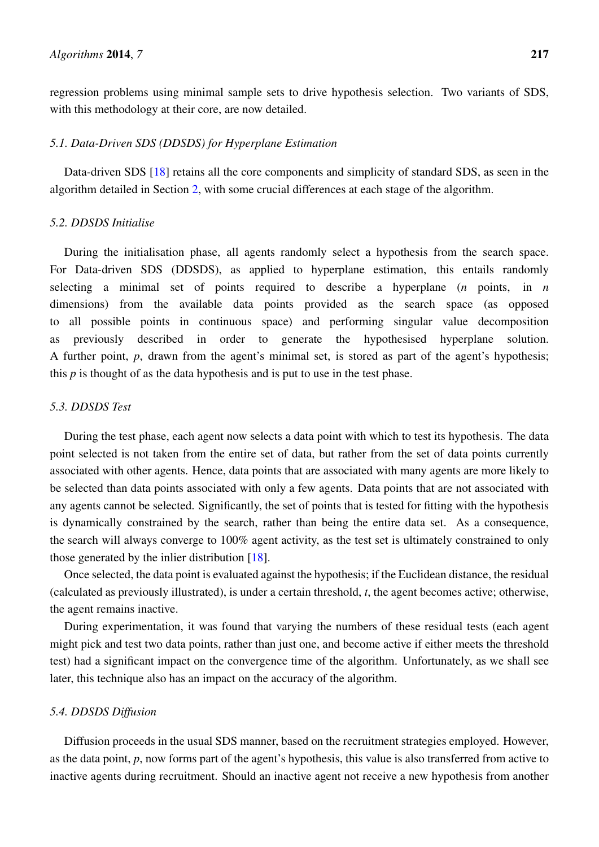regression problems using minimal sample sets to drive hypothesis selection. Two variants of SDS, with this methodology at their core, are now detailed.

#### *5.1. Data-Driven SDS (DDSDS) for Hyperplane Estimation*

Data-driven SDS [\[18\]](#page-21-3) retains all the core components and simplicity of standard SDS, as seen in the algorithm detailed in Section [2,](#page-4-0) with some crucial differences at each stage of the algorithm.

#### *5.2. DDSDS Initialise*

During the initialisation phase, all agents randomly select a hypothesis from the search space. For Data-driven SDS (DDSDS), as applied to hyperplane estimation, this entails randomly selecting a minimal set of points required to describe a hyperplane (*n* points, in *n* dimensions) from the available data points provided as the search space (as opposed to all possible points in continuous space) and performing singular value decomposition as previously described in order to generate the hypothesised hyperplane solution. A further point, *p*, drawn from the agent's minimal set, is stored as part of the agent's hypothesis; this  $p$  is thought of as the data hypothesis and is put to use in the test phase.

## *5.3. DDSDS Test*

During the test phase, each agent now selects a data point with which to test its hypothesis. The data point selected is not taken from the entire set of data, but rather from the set of data points currently associated with other agents. Hence, data points that are associated with many agents are more likely to be selected than data points associated with only a few agents. Data points that are not associated with any agents cannot be selected. Significantly, the set of points that is tested for fitting with the hypothesis is dynamically constrained by the search, rather than being the entire data set. As a consequence, the search will always converge to 100% agent activity, as the test set is ultimately constrained to only those generated by the inlier distribution [\[18\]](#page-21-3).

Once selected, the data point is evaluated against the hypothesis; if the Euclidean distance, the residual (calculated as previously illustrated), is under a certain threshold, *t*, the agent becomes active; otherwise, the agent remains inactive.

During experimentation, it was found that varying the numbers of these residual tests (each agent might pick and test two data points, rather than just one, and become active if either meets the threshold test) had a significant impact on the convergence time of the algorithm. Unfortunately, as we shall see later, this technique also has an impact on the accuracy of the algorithm.

# *5.4. DDSDS Diffusion*

Diffusion proceeds in the usual SDS manner, based on the recruitment strategies employed. However, as the data point, *p*, now forms part of the agent's hypothesis, this value is also transferred from active to inactive agents during recruitment. Should an inactive agent not receive a new hypothesis from another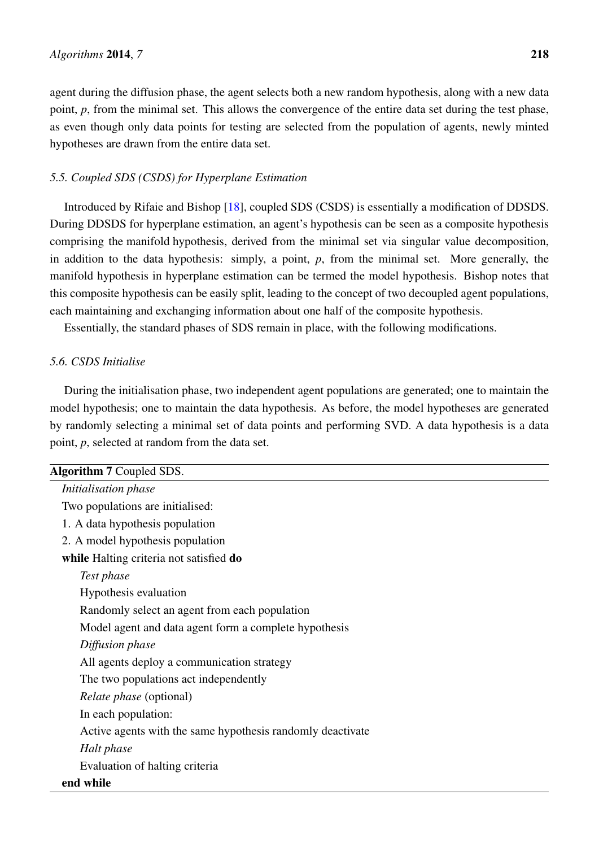agent during the diffusion phase, the agent selects both a new random hypothesis, along with a new data point, *p*, from the minimal set. This allows the convergence of the entire data set during the test phase, as even though only data points for testing are selected from the population of agents, newly minted hypotheses are drawn from the entire data set.

# *5.5. Coupled SDS (CSDS) for Hyperplane Estimation*

Introduced by Rifaie and Bishop [\[18\]](#page-21-3), coupled SDS (CSDS) is essentially a modification of DDSDS. During DDSDS for hyperplane estimation, an agent's hypothesis can be seen as a composite hypothesis comprising the manifold hypothesis, derived from the minimal set via singular value decomposition, in addition to the data hypothesis: simply, a point, *p*, from the minimal set. More generally, the manifold hypothesis in hyperplane estimation can be termed the model hypothesis. Bishop notes that this composite hypothesis can be easily split, leading to the concept of two decoupled agent populations, each maintaining and exchanging information about one half of the composite hypothesis.

Essentially, the standard phases of SDS remain in place, with the following modifications.

#### *5.6. CSDS Initialise*

During the initialisation phase, two independent agent populations are generated; one to maintain the model hypothesis; one to maintain the data hypothesis. As before, the model hypotheses are generated by randomly selecting a minimal set of data points and performing SVD. A data hypothesis is a data point, *p*, selected at random from the data set.

| <b>Algorithm 7 Coupled SDS.</b>                            |
|------------------------------------------------------------|
| Initialisation phase                                       |
| Two populations are initialised:                           |
| 1. A data hypothesis population                            |
| 2. A model hypothesis population                           |
| while Halting criteria not satisfied do                    |
| Test phase                                                 |
| Hypothesis evaluation                                      |
| Randomly select an agent from each population              |
| Model agent and data agent form a complete hypothesis      |
| Diffusion phase                                            |
| All agents deploy a communication strategy                 |
| The two populations act independently                      |
| <i>Relate phase</i> (optional)                             |
| In each population:                                        |
| Active agents with the same hypothesis randomly deactivate |
| Halt phase                                                 |
| Evaluation of halting criteria                             |
| end while                                                  |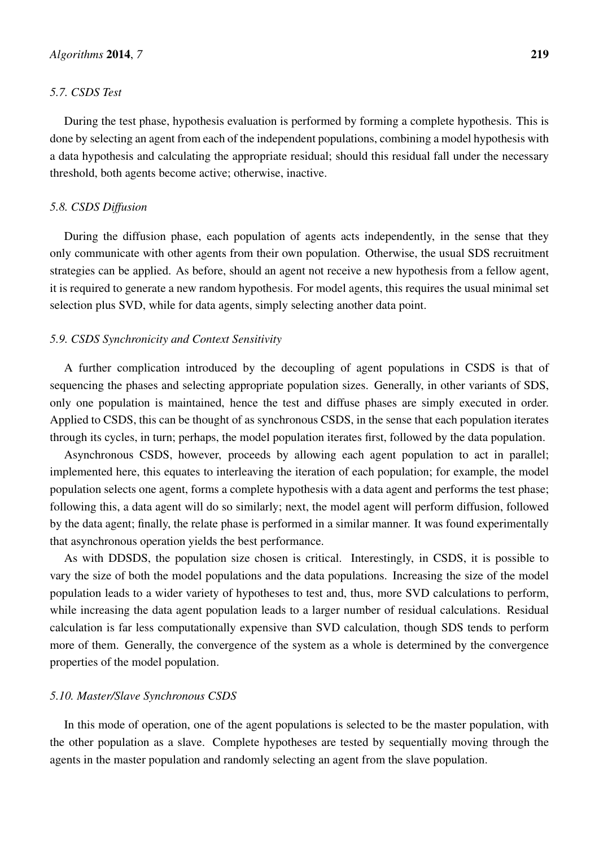#### *5.7. CSDS Test*

During the test phase, hypothesis evaluation is performed by forming a complete hypothesis. This is done by selecting an agent from each of the independent populations, combining a model hypothesis with a data hypothesis and calculating the appropriate residual; should this residual fall under the necessary threshold, both agents become active; otherwise, inactive.

## *5.8. CSDS Diffusion*

During the diffusion phase, each population of agents acts independently, in the sense that they only communicate with other agents from their own population. Otherwise, the usual SDS recruitment strategies can be applied. As before, should an agent not receive a new hypothesis from a fellow agent, it is required to generate a new random hypothesis. For model agents, this requires the usual minimal set selection plus SVD, while for data agents, simply selecting another data point.

# *5.9. CSDS Synchronicity and Context Sensitivity*

A further complication introduced by the decoupling of agent populations in CSDS is that of sequencing the phases and selecting appropriate population sizes. Generally, in other variants of SDS, only one population is maintained, hence the test and diffuse phases are simply executed in order. Applied to CSDS, this can be thought of as synchronous CSDS, in the sense that each population iterates through its cycles, in turn; perhaps, the model population iterates first, followed by the data population.

Asynchronous CSDS, however, proceeds by allowing each agent population to act in parallel; implemented here, this equates to interleaving the iteration of each population; for example, the model population selects one agent, forms a complete hypothesis with a data agent and performs the test phase; following this, a data agent will do so similarly; next, the model agent will perform diffusion, followed by the data agent; finally, the relate phase is performed in a similar manner. It was found experimentally that asynchronous operation yields the best performance.

As with DDSDS, the population size chosen is critical. Interestingly, in CSDS, it is possible to vary the size of both the model populations and the data populations. Increasing the size of the model population leads to a wider variety of hypotheses to test and, thus, more SVD calculations to perform, while increasing the data agent population leads to a larger number of residual calculations. Residual calculation is far less computationally expensive than SVD calculation, though SDS tends to perform more of them. Generally, the convergence of the system as a whole is determined by the convergence properties of the model population.

## *5.10. Master/Slave Synchronous CSDS*

In this mode of operation, one of the agent populations is selected to be the master population, with the other population as a slave. Complete hypotheses are tested by sequentially moving through the agents in the master population and randomly selecting an agent from the slave population.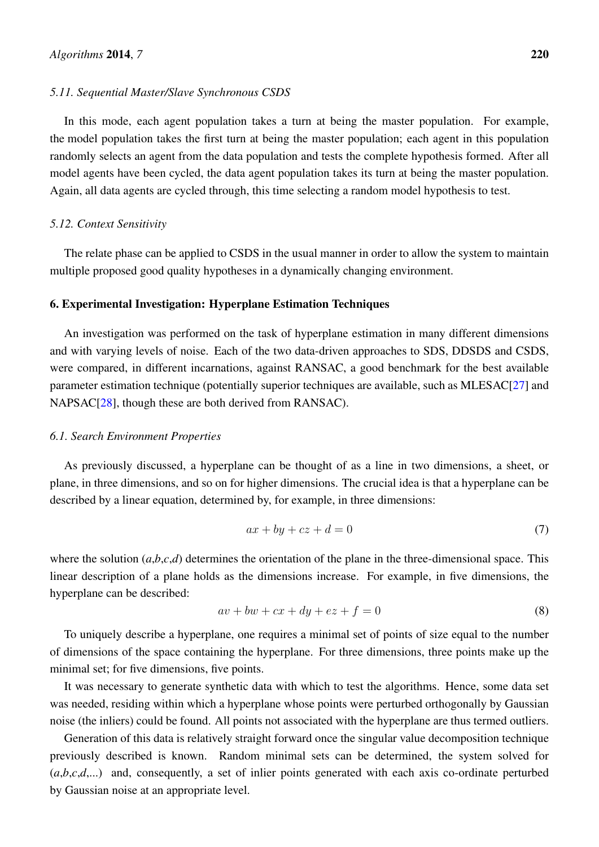#### *5.11. Sequential Master/Slave Synchronous CSDS*

In this mode, each agent population takes a turn at being the master population. For example, the model population takes the first turn at being the master population; each agent in this population randomly selects an agent from the data population and tests the complete hypothesis formed. After all model agents have been cycled, the data agent population takes its turn at being the master population. Again, all data agents are cycled through, this time selecting a random model hypothesis to test.

#### *5.12. Context Sensitivity*

The relate phase can be applied to CSDS in the usual manner in order to allow the system to maintain multiple proposed good quality hypotheses in a dynamically changing environment.

#### 6. Experimental Investigation: Hyperplane Estimation Techniques

An investigation was performed on the task of hyperplane estimation in many different dimensions and with varying levels of noise. Each of the two data-driven approaches to SDS, DDSDS and CSDS, were compared, in different incarnations, against RANSAC, a good benchmark for the best available parameter estimation technique (potentially superior techniques are available, such as MLESAC[\[27\]](#page-21-12) and NAPSAC<sup>[\[28\]](#page-21-13)</sup>, though these are both derived from RANSAC).

#### *6.1. Search Environment Properties*

As previously discussed, a hyperplane can be thought of as a line in two dimensions, a sheet, or plane, in three dimensions, and so on for higher dimensions. The crucial idea is that a hyperplane can be described by a linear equation, determined by, for example, in three dimensions:

$$
ax + by + cz + d = 0 \tag{7}
$$

where the solution  $(a,b,c,d)$  determines the orientation of the plane in the three-dimensional space. This linear description of a plane holds as the dimensions increase. For example, in five dimensions, the hyperplane can be described:

$$
av + bw + cx + dy + ez + f = 0
$$
\n<sup>(8)</sup>

To uniquely describe a hyperplane, one requires a minimal set of points of size equal to the number of dimensions of the space containing the hyperplane. For three dimensions, three points make up the minimal set; for five dimensions, five points.

It was necessary to generate synthetic data with which to test the algorithms. Hence, some data set was needed, residing within which a hyperplane whose points were perturbed orthogonally by Gaussian noise (the inliers) could be found. All points not associated with the hyperplane are thus termed outliers.

Generation of this data is relatively straight forward once the singular value decomposition technique previously described is known. Random minimal sets can be determined, the system solved for (*a*,*b*,*c*,*d*,...) and, consequently, a set of inlier points generated with each axis co-ordinate perturbed by Gaussian noise at an appropriate level.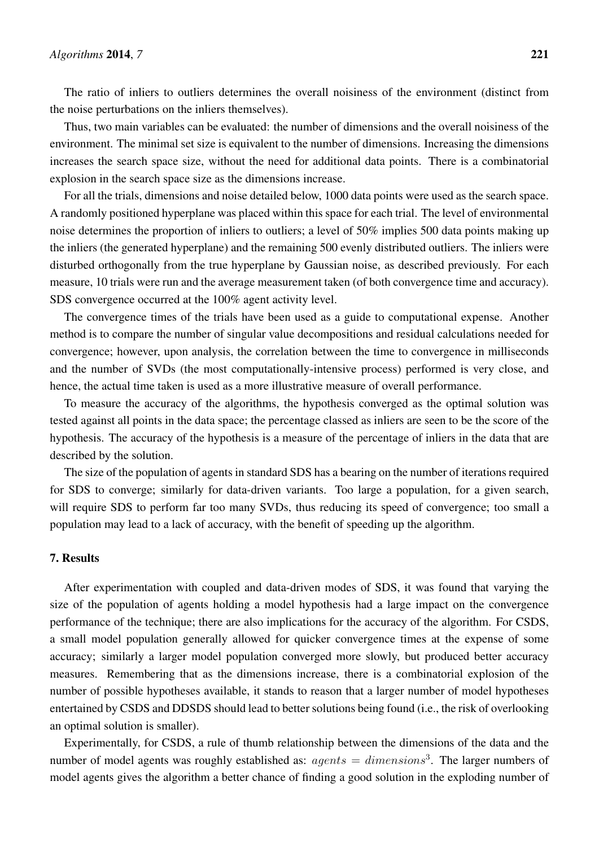The ratio of inliers to outliers determines the overall noisiness of the environment (distinct from the noise perturbations on the inliers themselves).

Thus, two main variables can be evaluated: the number of dimensions and the overall noisiness of the environment. The minimal set size is equivalent to the number of dimensions. Increasing the dimensions increases the search space size, without the need for additional data points. There is a combinatorial explosion in the search space size as the dimensions increase.

For all the trials, dimensions and noise detailed below, 1000 data points were used as the search space. A randomly positioned hyperplane was placed within this space for each trial. The level of environmental noise determines the proportion of inliers to outliers; a level of 50% implies 500 data points making up the inliers (the generated hyperplane) and the remaining 500 evenly distributed outliers. The inliers were disturbed orthogonally from the true hyperplane by Gaussian noise, as described previously. For each measure, 10 trials were run and the average measurement taken (of both convergence time and accuracy). SDS convergence occurred at the 100% agent activity level.

The convergence times of the trials have been used as a guide to computational expense. Another method is to compare the number of singular value decompositions and residual calculations needed for convergence; however, upon analysis, the correlation between the time to convergence in milliseconds and the number of SVDs (the most computationally-intensive process) performed is very close, and hence, the actual time taken is used as a more illustrative measure of overall performance.

To measure the accuracy of the algorithms, the hypothesis converged as the optimal solution was tested against all points in the data space; the percentage classed as inliers are seen to be the score of the hypothesis. The accuracy of the hypothesis is a measure of the percentage of inliers in the data that are described by the solution.

The size of the population of agents in standard SDS has a bearing on the number of iterations required for SDS to converge; similarly for data-driven variants. Too large a population, for a given search, will require SDS to perform far too many SVDs, thus reducing its speed of convergence; too small a population may lead to a lack of accuracy, with the benefit of speeding up the algorithm.

# 7. Results

After experimentation with coupled and data-driven modes of SDS, it was found that varying the size of the population of agents holding a model hypothesis had a large impact on the convergence performance of the technique; there are also implications for the accuracy of the algorithm. For CSDS, a small model population generally allowed for quicker convergence times at the expense of some accuracy; similarly a larger model population converged more slowly, but produced better accuracy measures. Remembering that as the dimensions increase, there is a combinatorial explosion of the number of possible hypotheses available, it stands to reason that a larger number of model hypotheses entertained by CSDS and DDSDS should lead to better solutions being found (i.e., the risk of overlooking an optimal solution is smaller).

Experimentally, for CSDS, a rule of thumb relationship between the dimensions of the data and the number of model agents was roughly established as:  $agents = dimensions<sup>3</sup>$ . The larger numbers of model agents gives the algorithm a better chance of finding a good solution in the exploding number of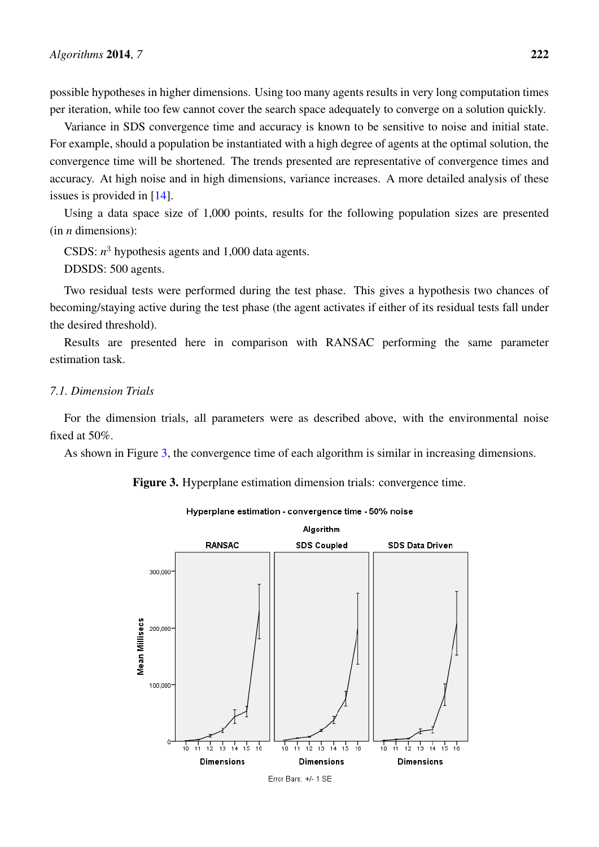possible hypotheses in higher dimensions. Using too many agents results in very long computation times per iteration, while too few cannot cover the search space adequately to converge on a solution quickly.

Variance in SDS convergence time and accuracy is known to be sensitive to noise and initial state. For example, should a population be instantiated with a high degree of agents at the optimal solution, the convergence time will be shortened. The trends presented are representative of convergence times and accuracy. At high noise and in high dimensions, variance increases. A more detailed analysis of these issues is provided in [\[14\]](#page-20-13).

Using a data space size of 1,000 points, results for the following population sizes are presented (in *n* dimensions):

CSDS:  $n^3$  hypothesis agents and 1,000 data agents.

DDSDS: 500 agents.

Two residual tests were performed during the test phase. This gives a hypothesis two chances of becoming/staying active during the test phase (the agent activates if either of its residual tests fall under the desired threshold).

Results are presented here in comparison with RANSAC performing the same parameter estimation task.

# *7.1. Dimension Trials*

For the dimension trials, all parameters were as described above, with the environmental noise fixed at 50%.

<span id="page-16-0"></span>As shown in Figure [3,](#page-16-0) the convergence time of each algorithm is similar in increasing dimensions.

Figure 3. Hyperplane estimation dimension trials: convergence time.



#### Hyperplane estimation - convergence time - 50% noise

Error Bars: +/- 1 SE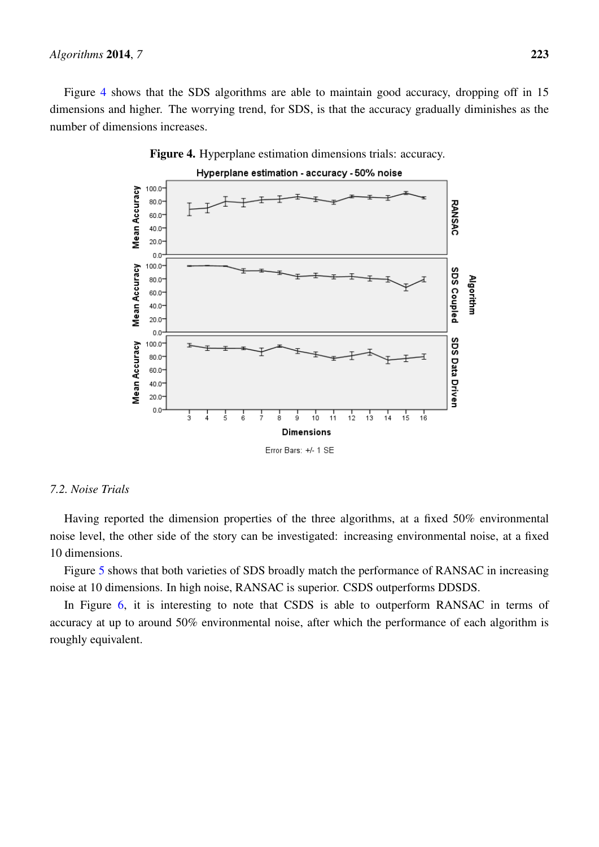<span id="page-17-0"></span>Figure [4](#page-17-0) shows that the SDS algorithms are able to maintain good accuracy, dropping off in 15 dimensions and higher. The worrying trend, for SDS, is that the accuracy gradually diminishes as the number of dimensions increases.





# *7.2. Noise Trials*

Having reported the dimension properties of the three algorithms, at a fixed 50% environmental noise level, the other side of the story can be investigated: increasing environmental noise, at a fixed 10 dimensions.

Figure [5](#page-18-0) shows that both varieties of SDS broadly match the performance of RANSAC in increasing noise at 10 dimensions. In high noise, RANSAC is superior. CSDS outperforms DDSDS.

In Figure [6,](#page-18-1) it is interesting to note that CSDS is able to outperform RANSAC in terms of accuracy at up to around 50% environmental noise, after which the performance of each algorithm is roughly equivalent.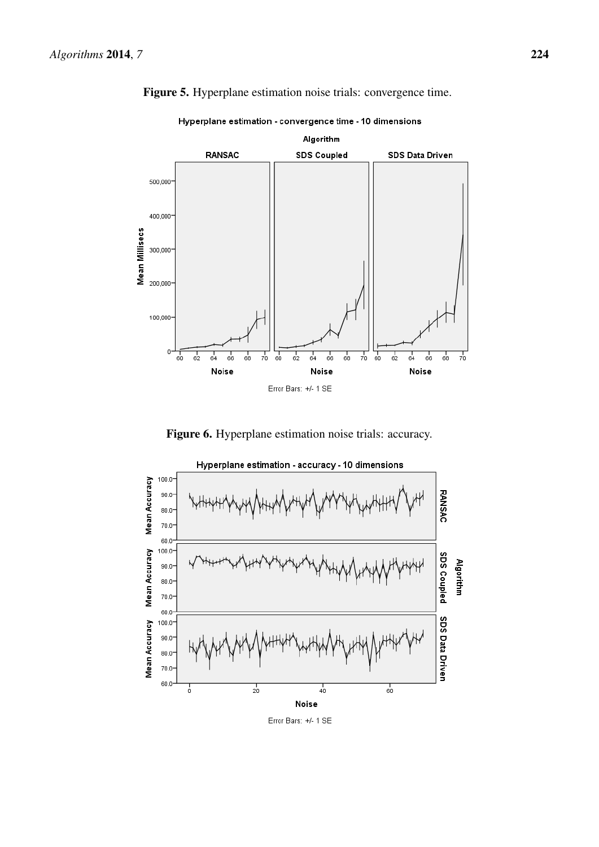

<span id="page-18-0"></span>Figure 5. Hyperplane estimation noise trials: convergence time.

Hyperplane estimation - convergence time - 10 dimensions

Figure 6. Hyperplane estimation noise trials: accuracy.

<span id="page-18-1"></span>

Error Bars: +/- 1 SE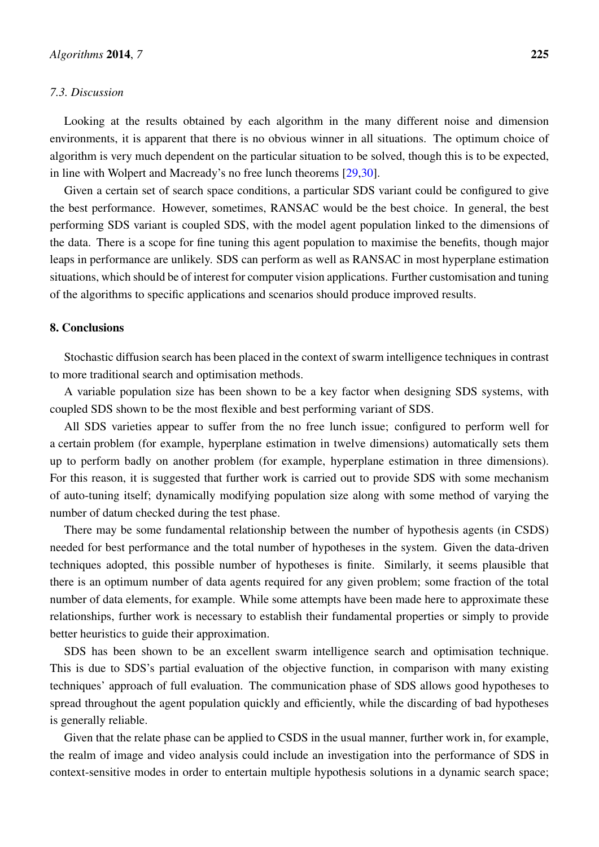#### *7.3. Discussion*

Looking at the results obtained by each algorithm in the many different noise and dimension environments, it is apparent that there is no obvious winner in all situations. The optimum choice of algorithm is very much dependent on the particular situation to be solved, though this is to be expected, in line with Wolpert and Macready's no free lunch theorems [\[29](#page-21-14)[,30\]](#page-22-0).

Given a certain set of search space conditions, a particular SDS variant could be configured to give the best performance. However, sometimes, RANSAC would be the best choice. In general, the best performing SDS variant is coupled SDS, with the model agent population linked to the dimensions of the data. There is a scope for fine tuning this agent population to maximise the benefits, though major leaps in performance are unlikely. SDS can perform as well as RANSAC in most hyperplane estimation situations, which should be of interest for computer vision applications. Further customisation and tuning of the algorithms to specific applications and scenarios should produce improved results.

## 8. Conclusions

Stochastic diffusion search has been placed in the context of swarm intelligence techniques in contrast to more traditional search and optimisation methods.

A variable population size has been shown to be a key factor when designing SDS systems, with coupled SDS shown to be the most flexible and best performing variant of SDS.

All SDS varieties appear to suffer from the no free lunch issue; configured to perform well for a certain problem (for example, hyperplane estimation in twelve dimensions) automatically sets them up to perform badly on another problem (for example, hyperplane estimation in three dimensions). For this reason, it is suggested that further work is carried out to provide SDS with some mechanism of auto-tuning itself; dynamically modifying population size along with some method of varying the number of datum checked during the test phase.

There may be some fundamental relationship between the number of hypothesis agents (in CSDS) needed for best performance and the total number of hypotheses in the system. Given the data-driven techniques adopted, this possible number of hypotheses is finite. Similarly, it seems plausible that there is an optimum number of data agents required for any given problem; some fraction of the total number of data elements, for example. While some attempts have been made here to approximate these relationships, further work is necessary to establish their fundamental properties or simply to provide better heuristics to guide their approximation.

SDS has been shown to be an excellent swarm intelligence search and optimisation technique. This is due to SDS's partial evaluation of the objective function, in comparison with many existing techniques' approach of full evaluation. The communication phase of SDS allows good hypotheses to spread throughout the agent population quickly and efficiently, while the discarding of bad hypotheses is generally reliable.

Given that the relate phase can be applied to CSDS in the usual manner, further work in, for example, the realm of image and video analysis could include an investigation into the performance of SDS in context-sensitive modes in order to entertain multiple hypothesis solutions in a dynamic search space;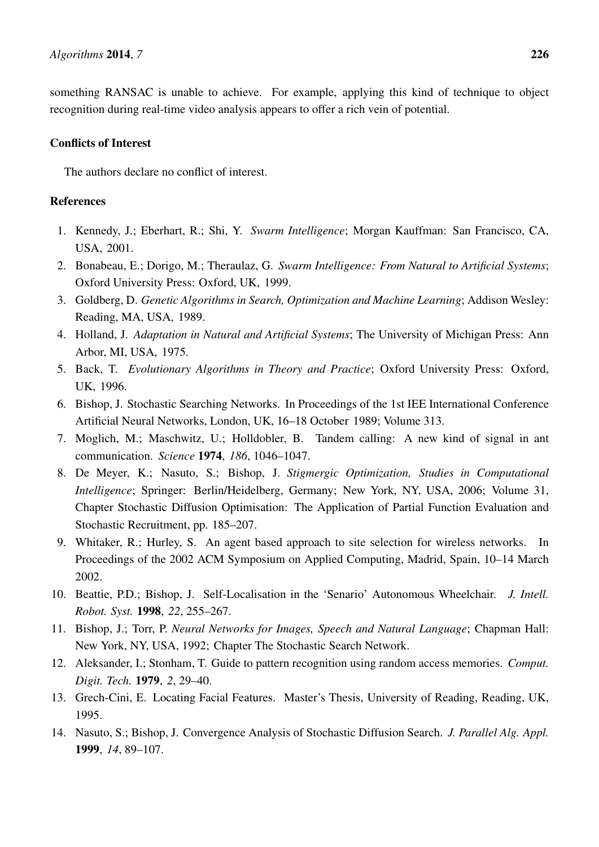something RANSAC is unable to achieve. For example, applying this kind of technique to object recognition during real-time video analysis appears to offer a rich vein of potential.

# Conflicts of Interest

The authors declare no conflict of interest.

# **References**

- <span id="page-20-0"></span>1. Kennedy, J.; Eberhart, R.; Shi, Y. *Swarm Intelligence*; Morgan Kauffman: San Francisco, CA, USA, 2001.
- <span id="page-20-1"></span>2. Bonabeau, E.; Dorigo, M.; Theraulaz, G. *Swarm Intelligence: From Natural to Artificial Systems*; Oxford University Press: Oxford, UK, 1999.
- <span id="page-20-2"></span>3. Goldberg, D. *Genetic Algorithms in Search, Optimization and Machine Learning*; Addison Wesley: Reading, MA, USA, 1989.
- <span id="page-20-3"></span>4. Holland, J. *Adaptation in Natural and Artificial Systems*; The University of Michigan Press: Ann Arbor, MI, USA, 1975.
- <span id="page-20-4"></span>5. Back, T. *Evolutionary Algorithms in Theory and Practice*; Oxford University Press: Oxford, UK, 1996.
- <span id="page-20-5"></span>6. Bishop, J. Stochastic Searching Networks. In Proceedings of the 1st IEE International Conference Artificial Neural Networks, London, UK, 16–18 October 1989; Volume 313.
- <span id="page-20-6"></span>7. Moglich, M.; Maschwitz, U.; Holldobler, B. Tandem calling: A new kind of signal in ant communication. *Science* 1974, *186*, 1046–1047.
- <span id="page-20-7"></span>8. De Meyer, K.; Nasuto, S.; Bishop, J. *Stigmergic Optimization, Studies in Computational Intelligence*; Springer: Berlin/Heidelberg, Germany; New York, NY, USA, 2006; Volume 31, Chapter Stochastic Diffusion Optimisation: The Application of Partial Function Evaluation and Stochastic Recruitment, pp. 185–207.
- <span id="page-20-8"></span>9. Whitaker, R.; Hurley, S. An agent based approach to site selection for wireless networks. In Proceedings of the 2002 ACM Symposium on Applied Computing, Madrid, Spain, 10–14 March 2002.
- <span id="page-20-9"></span>10. Beattie, P.D.; Bishop, J. Self-Localisation in the 'Senario' Autonomous Wheelchair. *J. Intell. Robot. Syst.* 1998, *22*, 255–267.
- <span id="page-20-10"></span>11. Bishop, J.; Torr, P. *Neural Networks for Images, Speech and Natural Language*; Chapman Hall: New York, NY, USA, 1992; Chapter The Stochastic Search Network.
- <span id="page-20-11"></span>12. Aleksander, I.; Stonham, T. Guide to pattern recognition using random access memories. *Comput. Digit. Tech.* 1979, *2*, 29–40.
- <span id="page-20-12"></span>13. Grech-Cini, E. Locating Facial Features. Master's Thesis, University of Reading, Reading, UK, 1995.
- <span id="page-20-13"></span>14. Nasuto, S.; Bishop, J. Convergence Analysis of Stochastic Diffusion Search. *J. Parallel Alg. Appl.* 1999, *14*, 89–107.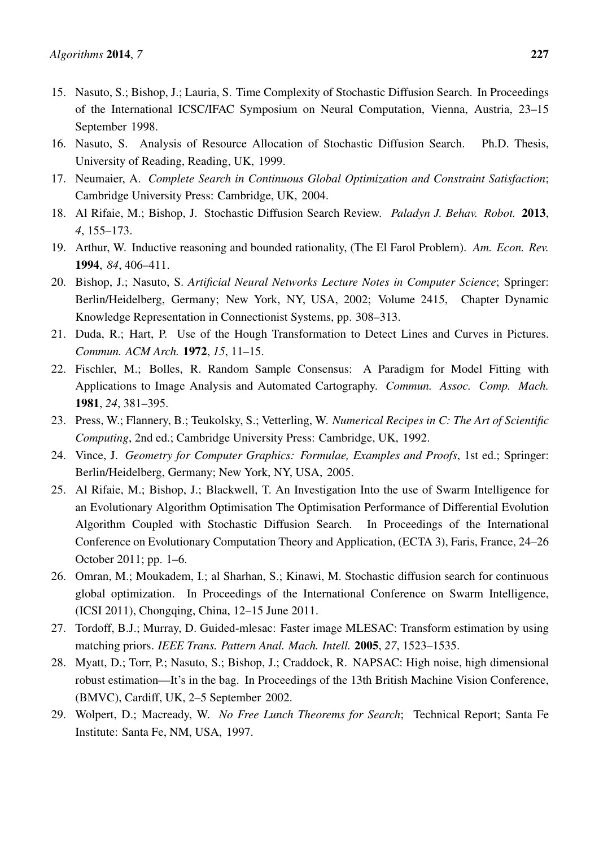- <span id="page-21-0"></span>15. Nasuto, S.; Bishop, J.; Lauria, S. Time Complexity of Stochastic Diffusion Search. In Proceedings of the International ICSC/IFAC Symposium on Neural Computation, Vienna, Austria, 23–15 September 1998.
- <span id="page-21-1"></span>16. Nasuto, S. Analysis of Resource Allocation of Stochastic Diffusion Search. Ph.D. Thesis, University of Reading, Reading, UK, 1999.
- <span id="page-21-2"></span>17. Neumaier, A. *Complete Search in Continuous Global Optimization and Constraint Satisfaction*; Cambridge University Press: Cambridge, UK, 2004.
- <span id="page-21-3"></span>18. Al Rifaie, M.; Bishop, J. Stochastic Diffusion Search Review. *Paladyn J. Behav. Robot.* 2013, *4*, 155–173.
- <span id="page-21-4"></span>19. Arthur, W. Inductive reasoning and bounded rationality, (The El Farol Problem). *Am. Econ. Rev.* 1994, *84*, 406–411.
- <span id="page-21-5"></span>20. Bishop, J.; Nasuto, S. *Artificial Neural Networks Lecture Notes in Computer Science*; Springer: Berlin/Heidelberg, Germany; New York, NY, USA, 2002; Volume 2415, Chapter Dynamic Knowledge Representation in Connectionist Systems, pp. 308–313.
- <span id="page-21-6"></span>21. Duda, R.; Hart, P. Use of the Hough Transformation to Detect Lines and Curves in Pictures. *Commun. ACM Arch.* 1972, *15*, 11–15.
- <span id="page-21-7"></span>22. Fischler, M.; Bolles, R. Random Sample Consensus: A Paradigm for Model Fitting with Applications to Image Analysis and Automated Cartography. *Commun. Assoc. Comp. Mach.* 1981, *24*, 381–395.
- <span id="page-21-8"></span>23. Press, W.; Flannery, B.; Teukolsky, S.; Vetterling, W. *Numerical Recipes in C: The Art of Scientific Computing*, 2nd ed.; Cambridge University Press: Cambridge, UK, 1992.
- <span id="page-21-9"></span>24. Vince, J. *Geometry for Computer Graphics: Formulae, Examples and Proofs*, 1st ed.; Springer: Berlin/Heidelberg, Germany; New York, NY, USA, 2005.
- <span id="page-21-10"></span>25. Al Rifaie, M.; Bishop, J.; Blackwell, T. An Investigation Into the use of Swarm Intelligence for an Evolutionary Algorithm Optimisation The Optimisation Performance of Differential Evolution Algorithm Coupled with Stochastic Diffusion Search. In Proceedings of the International Conference on Evolutionary Computation Theory and Application, (ECTA 3), Faris, France, 24–26 October 2011; pp. 1–6.
- <span id="page-21-11"></span>26. Omran, M.; Moukadem, I.; al Sharhan, S.; Kinawi, M. Stochastic diffusion search for continuous global optimization. In Proceedings of the International Conference on Swarm Intelligence, (ICSI 2011), Chongqing, China, 12–15 June 2011.
- <span id="page-21-12"></span>27. Tordoff, B.J.; Murray, D. Guided-mlesac: Faster image MLESAC: Transform estimation by using matching priors. *IEEE Trans. Pattern Anal. Mach. Intell.* 2005, *27*, 1523–1535.
- <span id="page-21-13"></span>28. Myatt, D.; Torr, P.; Nasuto, S.; Bishop, J.; Craddock, R. NAPSAC: High noise, high dimensional robust estimation—It's in the bag. In Proceedings of the 13th British Machine Vision Conference, (BMVC), Cardiff, UK, 2–5 September 2002.
- <span id="page-21-14"></span>29. Wolpert, D.; Macready, W. *No Free Lunch Theorems for Search*; Technical Report; Santa Fe Institute: Santa Fe, NM, USA, 1997.